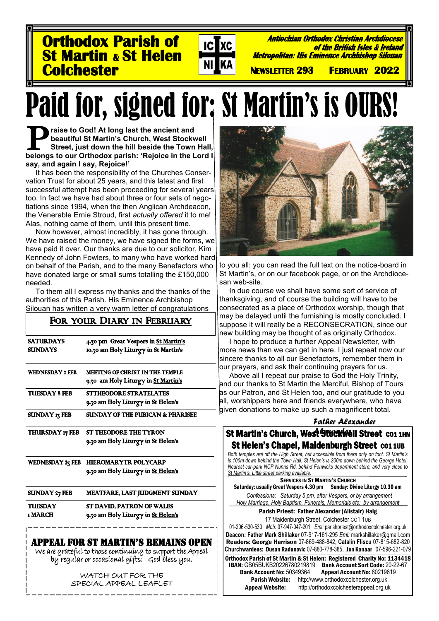**Orthodox Parish of St Martin & St Helen Colchester** 

**Antiochian Orthodox Christian Archdiocese of the British Isles & Ireland Metropolitan: His Eminence Archbishop Silouan** 

 **NEWSLETTER 293 FEBRUARY 2022** 

# Paid for, signed for: St Martin's is OURS!

 $|{\bf C}|$ 

**Txc** 

**beautiful St Martin's Church, West Stockwell Street, just down the hill beside the Town Hall, belongs to our Orthodox parish: 'Rejoice in the Lord I raise to God! At long last the ancient and beautiful St Martin's Church, West Stockwell Street, just down the hill beside the Town Hall, say, and again I say, Rejoice!'**

It has been the responsibility of the Churches Conservation Trust for about 25 years, and this latest and first successful attempt has been proceeding for several years too. In fact we have had about three or four sets of negotiations since 1994, when the then Anglican Archdeacon, the Venerable Ernie Stroud, first *actually offered* it to me! Alas, nothing came of them, until this present time.

Now however, almost incredibly, it has gone through. We have raised the money, we have signed the forms, we have paid it over. Our thanks are due to our solicitor, Kim Kennedy of John Fowlers, to many who have worked hard on behalf of the Parish, and to the many Benefactors who have donated large or small sums totalling the £150,000 needed.

To them all I express my thanks and the thanks of the authorities of this Parish. His Eminence Archbishop Silouan has written a very warm letter of congratulations

## FOR YOUR DIARY IN FEBRUARY

| <b>SATURDAYS</b>       | 4.30 pm Great Vespers in St Martin's   |
|------------------------|----------------------------------------|
| <b>SUNDAYS</b>         | 10.30 am Holy Liturgy in St Martin's   |
| <b>WEDNESDAY 2 FEB</b> | <b>MEETING OF CHRIST IN THE TEMPLE</b> |
|                        | 9.30 am Holy Liturgy in St Martin's    |
| <b>TUESDAY 8 FEB</b>   | <b>STTHEODORE STRATELATES</b>          |
|                        | 9.30 am Holy Liturgy in St Helen's     |
| <b>SUNDAY 17 FEB</b>   | SUNDAY OF THE PUBICAN & PHARISEE       |
| THURSDAY 17 FEB        | ST THEODORE THE TYRON                  |
|                        | 9.30 am Holy Liturgy in St Helen's     |
| WEDNESDAY 23 FEB       | <b>HIEROMARYTR POLYCARP</b>            |
|                        | 9.30 am Holy Liturgy in St Helen's     |
| <b>SUNDAY 27 FEB</b>   | MEATFARE, LAST JUDGMENT SUNDAY         |
| <b>TUESDAY</b>         | ST DAVID, PATRON OF WALES              |
| 1 MARCH                | 9.30 am Holy Liturgy in St Helen's     |
|                        | PPEAL FOR ST MARTIN'S REMAINS OPEN     |

We are grateful to those continuing to support the Appeal by regular or occasional gifts: God bless you.

> WATCH OUT FOR THE SPECIAL APPEAL LEAFLET



to you all: you can read the full text on the notice-board in St Martin's, or on our facebook page, or on the Archdiocesan web-site.

In due course we shall have some sort of service of thanksgiving, and of course the building will have to be consecrated as a place of Orthodox worship, though that may be delayed until the furnishing is mostly concluded. I suppose it will really be a RECONSECRATION, since our new building may be thought of as originally Orthodox.

I hope to produce a further Appeal Newsletter, with more news than we can get in here. I just repeat now our sincere thanks to all our Benefactors, remember them in our prayers, and ask their continuing prayers for us.

Above all I repeat our praise to God the Holy Trinity, and our thanks to St Martin the Merciful, Bishop of Tours as our Patron, and St Helen too, and our gratitude to you all, worshippers here and friends everywhere, who have given donations to make up such a magnificent total.

#### *Father Alexander*

**St Martin's Church, West Stockwell Street CO1 1HN** Orthodox Parish of St Martin & St Helen: Registered Charity No: 1134418 IBAN: GB05BUKB20226780219819 Bank Account Sort Code: 20-22-67<br>Bank Account No: 50349364 Appeal Account No: 80219819 k Account No: 50349364 Appeal Account No: 80219819<br>Parish Website: http://www.orthodoxcolchester.org.uk [http://www.orthodoxcolchester.org.uk](http://www.orthodoxcolchester.org.uk/) Appeal Website: http://orthodoxcolchesterappeal.org.uk St Helen's Chapel, Maidenburgh Street CO1 1UB *Both temples are off the High Street, but accessible from there only on foot. St Martin's is 100m down behind the Town Hall. St Helen's is 200m down behind the George Hotel. Nearest car-park NCP Nunns Rd, behind Fenwicks department store, and very close to St Martin's. Little street parking available.* **SERVICES IN ST MARTIN'S CHURCH** Saturday: usually Great Vespers 4.30 pm Sunday: Divine Liturgy 10.30 am *Confessions: Saturday 5 pm, after Vespers, or by arrangement Holy Marriage, Holy Baptism, Funerals, Memorials etc: by arrangement* Parish Priest: Father Alexander (Alistair) Haig 17 Maidenburgh Street, Colchester CO1 1UB 01-206-530-530 *Mob:* 07-947-047-201 *Eml:* parishpriest@orthodoxcolchester.org.uk **Deacon: Father Mark Shillaker** 07-917-161-295 *Eml:* markshillaker@gmail.com Readers: George Harrison 07-869-488-842, **Catalin Fliscu** 07-815-682-820 **Churchw**ardens: Dusan Radunovic 07-880-778-385, Jon Kanaar 07-596-221-079